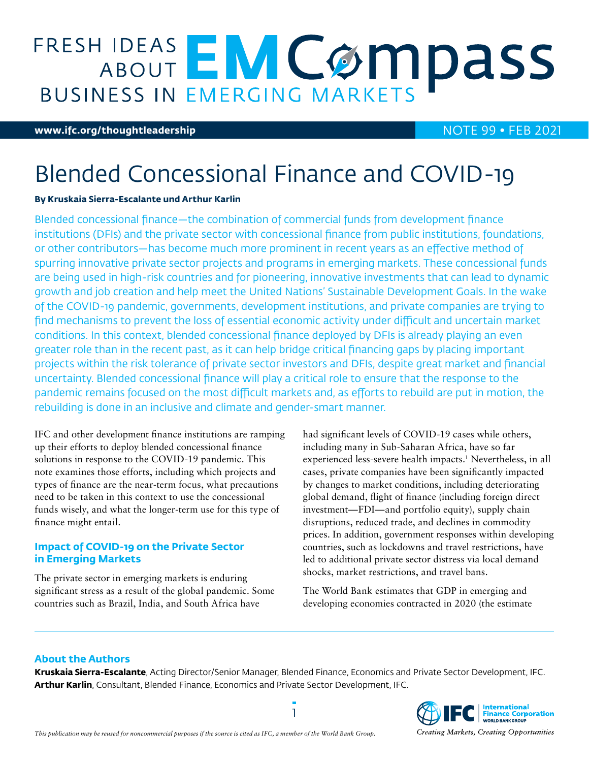# **FRESH IDEAS EMCOMPASS**

#### **[www.ifc.org/thoughtleadership](http://www.ifc.org/thoughtleadership)** NOTE 99 • FEB 2021

## Blended Concessional Finance and COVID-19

#### **By Kruskaia Sierra-Escalante und Arthur Karlin**

Blended concessional finance—the combination of commercial funds from development finance institutions (DFIs) and the private sector with concessional finance from public institutions, foundations, or other contributors—has become much more prominent in recent years as an effective method of spurring innovative private sector projects and programs in emerging markets. These concessional funds are being used in high-risk countries and for pioneering, innovative investments that can lead to dynamic growth and job creation and help meet the United Nations' Sustainable Development Goals. In the wake of the COVID-19 pandemic, governments, development institutions, and private companies are trying to find mechanisms to prevent the loss of essential economic activity under difficult and uncertain market conditions. In this context, blended concessional finance deployed by DFIs is already playing an even greater role than in the recent past, as it can help bridge critical financing gaps by placing important projects within the risk tolerance of private sector investors and DFIs, despite great market and financial uncertainty. Blended concessional finance will play a critical role to ensure that the response to the pandemic remains focused on the most difficult markets and, as efforts to rebuild are put in motion, the rebuilding is done in an inclusive and climate and gender-smart manner.

IFC and other development finance institutions are ramping up their efforts to deploy blended concessional finance solutions in response to the COVID-19 pandemic. This note examines those efforts, including which projects and types of finance are the near-term focus, what precautions need to be taken in this context to use the concessional funds wisely, and what the longer-term use for this type of finance might entail.

#### **Impact of COVID-19 on the Private Sector in Emerging Markets**

The private sector in emerging markets is enduring significant stress as a result of the global pandemic. Some countries such as Brazil, India, and South Africa have

had significant levels of COVID-19 cases while others, including many in Sub-Saharan Africa, have so far experienced less-severe health impacts.1 Nevertheless, in all cases, private companies have been significantly impacted by changes to market conditions, including deteriorating global demand, flight of finance (including foreign direct investment—FDI—and portfolio equity), supply chain disruptions, reduced trade, and declines in commodity prices. In addition, government responses within developing countries, such as lockdowns and travel restrictions, have led to additional private sector distress via local demand shocks, market restrictions, and travel bans.

The World Bank estimates that GDP in emerging and developing economies contracted in 2020 (the estimate

#### **About the Authors**

**Kruskaia Sierra-Escalante**, Acting Director/Senior Manager, Blended Finance, Economics and Private Sector Development, IFC. **Arthur Karlin**, Consultant, Blended Finance, Economics and Private Sector Development, IFC.

1



Creating Markets, Creating Opportunities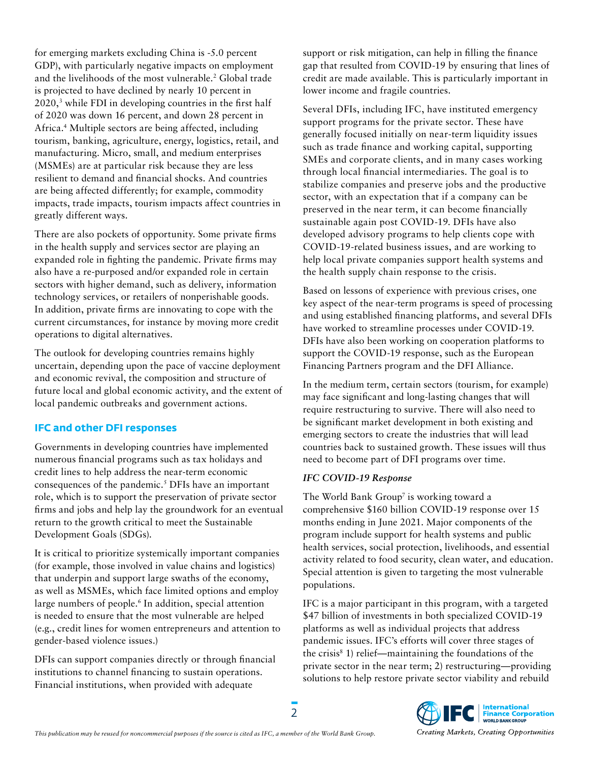for emerging markets excluding China is -5.0 percent GDP), with particularly negative impacts on employment and the livelihoods of the most vulnerable.<sup>2</sup> Global trade is projected to have declined by nearly 10 percent in  $2020$ ,<sup>3</sup> while FDI in developing countries in the first half of 2020 was down 16 percent, and down 28 percent in Africa.4 Multiple sectors are being affected, including tourism, banking, agriculture, energy, logistics, retail, and manufacturing. Micro, small, and medium enterprises (MSMEs) are at particular risk because they are less resilient to demand and financial shocks. And countries are being affected differently; for example, commodity impacts, trade impacts, tourism impacts affect countries in greatly different ways.

There are also pockets of opportunity. Some private firms in the health supply and services sector are playing an expanded role in fighting the pandemic. Private firms may also have a re-purposed and/or expanded role in certain sectors with higher demand, such as delivery, information technology services, or retailers of nonperishable goods. In addition, private firms are innovating to cope with the current circumstances, for instance by moving more credit operations to digital alternatives.

The outlook for developing countries remains highly uncertain, depending upon the pace of vaccine deployment and economic revival, the composition and structure of future local and global economic activity, and the extent of local pandemic outbreaks and government actions.

#### **IFC and other DFI responses**

Governments in developing countries have implemented numerous financial programs such as tax holidays and credit lines to help address the near-term economic consequences of the pandemic.<sup>5</sup> DFIs have an important role, which is to support the preservation of private sector firms and jobs and help lay the groundwork for an eventual return to the growth critical to meet the Sustainable Development Goals (SDGs).

It is critical to prioritize systemically important companies (for example, those involved in value chains and logistics) that underpin and support large swaths of the economy, as well as MSMEs, which face limited options and employ large numbers of people.<sup>6</sup> In addition, special attention is needed to ensure that the most vulnerable are helped (e.g., credit lines for women entrepreneurs and attention to gender-based violence issues.)

DFIs can support companies directly or through financial institutions to channel financing to sustain operations. Financial institutions, when provided with adequate

support or risk mitigation, can help in filling the finance gap that resulted from COVID-19 by ensuring that lines of credit are made available. This is particularly important in lower income and fragile countries.

Several DFIs, including IFC, have instituted emergency support programs for the private sector. These have generally focused initially on near-term liquidity issues such as trade finance and working capital, supporting SMEs and corporate clients, and in many cases working through local financial intermediaries. The goal is to stabilize companies and preserve jobs and the productive sector, with an expectation that if a company can be preserved in the near term, it can become financially sustainable again post COVID-19. DFIs have also developed advisory programs to help clients cope with COVID-19-related business issues, and are working to help local private companies support health systems and the health supply chain response to the crisis.

Based on lessons of experience with previous crises, one key aspect of the near-term programs is speed of processing and using established financing platforms, and several DFIs have worked to streamline processes under COVID-19. DFIs have also been working on cooperation platforms to support the COVID-19 response, such as the European Financing Partners program and the DFI Alliance.

In the medium term, certain sectors (tourism, for example) may face significant and long-lasting changes that will require restructuring to survive. There will also need to be significant market development in both existing and emerging sectors to create the industries that will lead countries back to sustained growth. These issues will thus need to become part of DFI programs over time.

#### *IFC COVID-19 Response*

The World Bank Group<sup>7</sup> is working toward a comprehensive \$160 billion COVID-19 response over 15 months ending in June 2021. Major components of the program include support for health systems and public health services, social protection, livelihoods, and essential activity related to food security, clean water, and education. Special attention is given to targeting the most vulnerable populations.

IFC is a major participant in this program, with a targeted \$47 billion of investments in both specialized COVID-19 platforms as well as individual projects that address pandemic issues. IFC's efforts will cover three stages of the crisis<sup>8</sup> 1) relief—maintaining the foundations of the private sector in the near term; 2) restructuring—providing solutions to help restore private sector viability and rebuild



2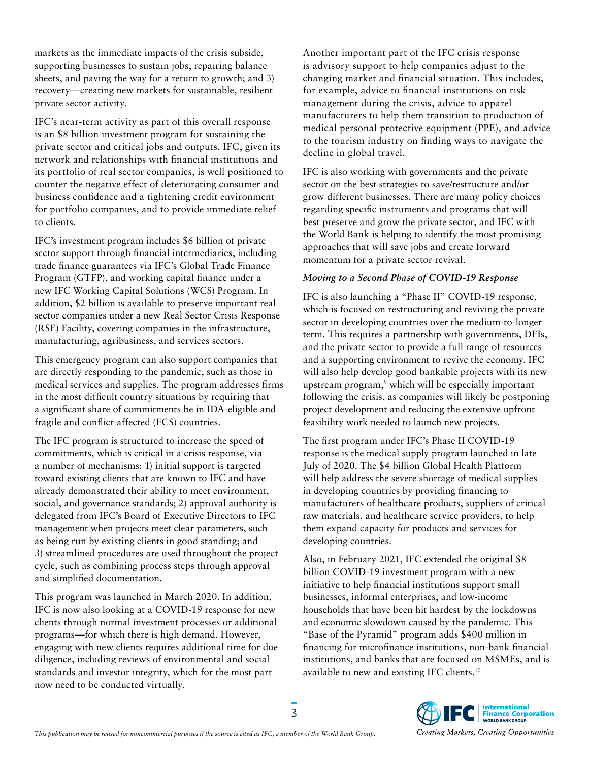markets as the immediate impacts of the crisis subside, supporting businesses to sustain jobs, repairing balance sheets, and paving the way for a return to growth; and 3) recovery—creating new markets for sustainable, resilient private sector activity.

IFC's near-term activity as part of this overall response is an \$8 billion investment program for sustaining the private sector and critical jobs and outputs. IFC, given its network and relationships with financial institutions and its portfolio of real sector companies, is well positioned to counter the negative effect of deteriorating consumer and business confidence and a tightening credit environment for portfolio companies, and to provide immediate relief to clients.

IFC's investment program includes \$6 billion of private sector support through financial intermediaries, including trade finance guarantees via IFC's Global Trade Finance Program (GTFP), and working capital finance under a new IFC Working Capital Solutions (WCS) Program. In addition, \$2 billion is available to preserve important real sector companies under a new Real Sector Crisis Response (RSE) Facility, covering companies in the infrastructure, manufacturing, agribusiness, and services sectors.

This emergency program can also support companies that are directly responding to the pandemic, such as those in medical services and supplies. The program addresses firms in the most difficult country situations by requiring that a significant share of commitments be in IDA-eligible and fragile and conflict-affected (FCS) countries.

The IFC program is structured to increase the speed of commitments, which is critical in a crisis response, via a number of mechanisms: 1) initial support is targeted toward existing clients that are known to IFC and have already demonstrated their ability to meet environment, social, and governance standards; 2) approval authority is delegated from IFC's Board of Executive Directors to IFC management when projects meet clear parameters, such as being run by existing clients in good standing; and 3) streamlined procedures are used throughout the project cycle, such as combining process steps through approval and simplified documentation.

This program was launched in March 2020. In addition, IFC is now also looking at a COVID-19 response for new clients through normal investment processes or additional programs—for which there is high demand. However, engaging with new clients requires additional time for due diligence, including reviews of environmental and social standards and investor integrity, which for the most part now need to be conducted virtually.

Another important part of the IFC crisis response is advisory support to help companies adjust to the changing market and financial situation. This includes, for example, advice to financial institutions on risk management during the crisis, advice to apparel manufacturers to help them transition to production of medical personal protective equipment (PPE), and advice to the tourism industry on finding ways to navigate the decline in global travel.

IFC is also working with governments and the private sector on the best strategies to save/restructure and/or grow different businesses. There are many policy choices regarding specific instruments and programs that will best preserve and grow the private sector, and IFC with the World Bank is helping to identify the most promising approaches that will save jobs and create forward momentum for a private sector revival.

### *Moving to a Second Phase of COVID-19 Response*

IFC is also launching a "Phase II" COVID-19 response, which is focused on restructuring and reviving the private sector in developing countries over the medium-to-longer term. This requires a partnership with governments, DFIs, and the private sector to provide a full range of resources and a supporting environment to revive the economy. IFC will also help develop good bankable projects with its new upstream program,9 which will be especially important following the crisis, as companies will likely be postponing project development and reducing the extensive upfront feasibility work needed to launch new projects.

The first program under IFC's Phase II COVID-19 response is the medical supply program launched in late July of 2020. The \$4 billion Global Health Platform will help address the severe shortage of medical supplies in developing countries by providing financing to manufacturers of healthcare products, suppliers of critical raw materials, and healthcare service providers, to help them expand capacity for products and services for developing countries.

Also, in February 2021, IFC extended the original \$8 billion COVID-19 investment program with a new initiative to help financial institutions support small businesses, informal enterprises, and low-income households that have been hit hardest by the lockdowns and economic slowdown caused by the pandemic. This "Base of the Pyramid" program adds \$400 million in financing for microfinance institutions, non-bank financial institutions, and banks that are focused on MSMEs, and is available to new and existing IFC clients.10

3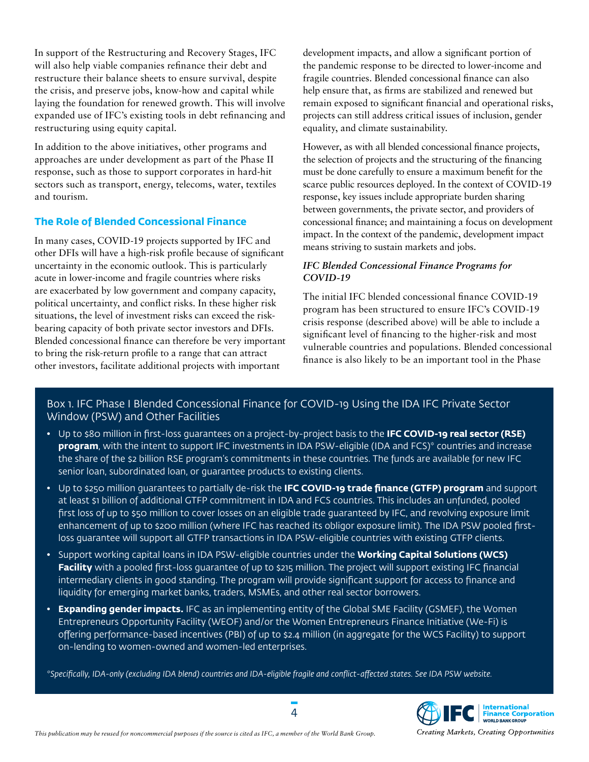In support of the Restructuring and Recovery Stages, IFC will also help viable companies refinance their debt and restructure their balance sheets to ensure survival, despite the crisis, and preserve jobs, know-how and capital while laying the foundation for renewed growth. This will involve expanded use of IFC's existing tools in debt refinancing and restructuring using equity capital.

In addition to the above initiatives, other programs and approaches are under development as part of the Phase II response, such as those to support corporates in hard-hit sectors such as transport, energy, telecoms, water, textiles and tourism.

#### **The Role of Blended Concessional Finance**

In many cases, COVID-19 projects supported by IFC and other DFIs will have a high-risk profile because of significant uncertainty in the economic outlook. This is particularly acute in lower-income and fragile countries where risks are exacerbated by low government and company capacity, political uncertainty, and conflict risks. In these higher risk situations, the level of investment risks can exceed the riskbearing capacity of both private sector investors and DFIs. Blended concessional finance can therefore be very important to bring the risk-return profile to a range that can attract other investors, facilitate additional projects with important

development impacts, and allow a significant portion of the pandemic response to be directed to lower-income and fragile countries. Blended concessional finance can also help ensure that, as firms are stabilized and renewed but remain exposed to significant financial and operational risks, projects can still address critical issues of inclusion, gender equality, and climate sustainability.

However, as with all blended concessional finance projects, the selection of projects and the structuring of the financing must be done carefully to ensure a maximum benefit for the scarce public resources deployed. In the context of COVID-19 response, key issues include appropriate burden sharing between governments, the private sector, and providers of concessional finance; and maintaining a focus on development impact. In the context of the pandemic, development impact means striving to sustain markets and jobs.

#### *IFC Blended Concessional Finance Programs for COVID-19*

The initial IFC blended concessional finance COVID-19 program has been structured to ensure IFC's COVID-19 crisis response (described above) will be able to include a significant level of financing to the higher-risk and most vulnerable countries and populations. Blended concessional finance is also likely to be an important tool in the Phase

### Box 1. IFC Phase I Blended Concessional Finance for COVID-19 Using the IDA IFC Private Sector Window (PSW) and Other Facilities

- Up to \$80 million in first-loss guarantees on a project-by-project basis to the **IFC COVID-19 real sector (RSE) program**, with the intent to support IFC investments in IDA PSW-eligible (IDA and FCS)\* countries and increase the share of the \$2 billion RSE program's commitments in these countries. The funds are available for new IFC senior loan, subordinated loan, or guarantee products to existing clients.
- Up to \$250 million guarantees to partially de-risk the **IFC COVID-19 trade finance (GTFP) program** and support at least \$1 billion of additional GTFP commitment in IDA and FCS countries. This includes an unfunded, pooled first loss of up to \$50 million to cover losses on an eligible trade guaranteed by IFC, and revolving exposure limit enhancement of up to \$200 million (where IFC has reached its obligor exposure limit). The IDA PSW pooled firstloss guarantee will support all GTFP transactions in IDA PSW-eligible countries with existing GTFP clients.
- Support working capital loans in IDA PSW-eligible countries under the **Working Capital Solutions (WCS) Facility** with a pooled first-loss guarantee of up to \$215 million. The project will support existing IFC financial intermediary clients in good standing. The program will provide significant support for access to finance and liquidity for emerging market banks, traders, MSMEs, and other real sector borrowers.
- **Expanding gender impacts.** IFC as an implementing entity of the Global SME Facility (GSMEF), the Women Entrepreneurs Opportunity Facility (WEOF) and/or the Women Entrepreneurs Finance Initiative (We-Fi) is offering performance-based incentives (PBI) of up to \$2.4 million (in aggregate for the WCS Facility) to support on-lending to women-owned and women-led enterprises.

*\*Specifically, IDA-only (excluding IDA blend) countries and IDA-eligible fragile and conflict-affected states. See IDA PSW website.*



Creating Markets, Creating Opportunities

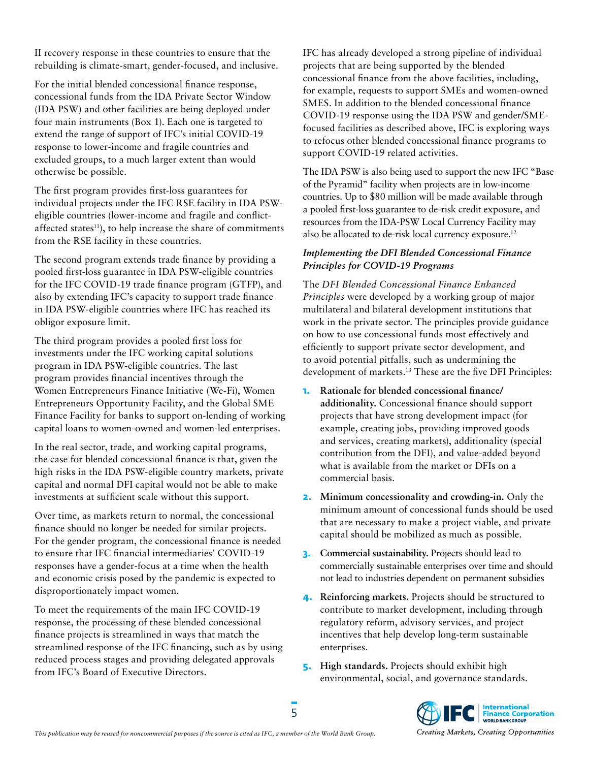II recovery response in these countries to ensure that the rebuilding is climate-smart, gender-focused, and inclusive.

For the initial blended concessional finance response, concessional funds from the IDA Private Sector Window (IDA PSW) and other facilities are being deployed under four main instruments (Box 1). Each one is targeted to extend the range of support of IFC's initial COVID-19 response to lower-income and fragile countries and excluded groups, to a much larger extent than would otherwise be possible.

The first program provides first-loss guarantees for individual projects under the IFC RSE facility in IDA PSWeligible countries (lower-income and fragile and conflictaffected states<sup>11</sup>), to help increase the share of commitments from the RSE facility in these countries.

The second program extends trade finance by providing a pooled first-loss guarantee in IDA PSW-eligible countries for the IFC COVID-19 trade finance program (GTFP), and also by extending IFC's capacity to support trade finance in IDA PSW-eligible countries where IFC has reached its obligor exposure limit.

The third program provides a pooled first loss for investments under the IFC working capital solutions program in IDA PSW-eligible countries. The last program provides financial incentives through the Women Entrepreneurs Finance Initiative (We-Fi), Women Entrepreneurs Opportunity Facility, and the Global SME Finance Facility for banks to support on-lending of working capital loans to women-owned and women-led enterprises.

In the real sector, trade, and working capital programs, the case for blended concessional finance is that, given the high risks in the IDA PSW-eligible country markets, private capital and normal DFI capital would not be able to make investments at sufficient scale without this support.

Over time, as markets return to normal, the concessional finance should no longer be needed for similar projects. For the gender program, the concessional finance is needed to ensure that IFC financial intermediaries' COVID-19 responses have a gender-focus at a time when the health and economic crisis posed by the pandemic is expected to disproportionately impact women.

To meet the requirements of the main IFC COVID-19 response, the processing of these blended concessional finance projects is streamlined in ways that match the streamlined response of the IFC financing, such as by using reduced process stages and providing delegated approvals from IFC's Board of Executive Directors.

IFC has already developed a strong pipeline of individual projects that are being supported by the blended concessional finance from the above facilities, including, for example, requests to support SMEs and women-owned SMES. In addition to the blended concessional finance COVID-19 response using the IDA PSW and gender/SMEfocused facilities as described above, IFC is exploring ways to refocus other blended concessional finance programs to support COVID-19 related activities.

The IDA PSW is also being used to support the new IFC "Base of the Pyramid" facility when projects are in low-income countries. Up to \$80 million will be made available through a pooled first-loss guarantee to de-risk credit exposure, and resources from the IDA-PSW Local Currency Facility may also be allocated to de-risk local currency exposure.12

#### *Implementing the DFI Blended Concessional Finance Principles for COVID-19 Programs*

The *DFI Blended Concessional Finance Enhanced Principles* were developed by a working group of major multilateral and bilateral development institutions that work in the private sector. The principles provide guidance on how to use concessional funds most effectively and efficiently to support private sector development, and to avoid potential pitfalls, such as undermining the development of markets.13 These are the five DFI Principles:

- **1. Rationale for blended concessional finance/ additionality.** Concessional finance should support projects that have strong development impact (for example, creating jobs, providing improved goods and services, creating markets), additionality (special contribution from the DFI), and value-added beyond what is available from the market or DFIs on a commercial basis.
- **2. Minimum concessionality and crowding-in.** Only the minimum amount of concessional funds should be used that are necessary to make a project viable, and private capital should be mobilized as much as possible.
- **3. Commercial sustainability.** Projects should lead to commercially sustainable enterprises over time and should not lead to industries dependent on permanent subsidies
- **4. Reinforcing markets.** Projects should be structured to contribute to market development, including through regulatory reform, advisory services, and project incentives that help develop long-term sustainable enterprises.
- **5. High standards.** Projects should exhibit high environmental, social, and governance standards.



5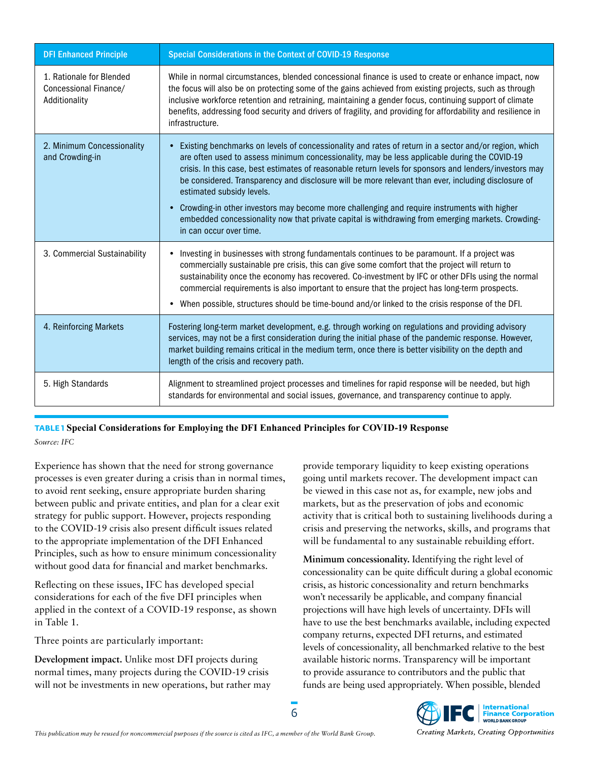| <b>DFI Enhanced Principle</b>                                      | <b>Special Considerations in the Context of COVID-19 Response</b>                                                                                                                                                                                                                                                                                                                                                                                                                                         |
|--------------------------------------------------------------------|-----------------------------------------------------------------------------------------------------------------------------------------------------------------------------------------------------------------------------------------------------------------------------------------------------------------------------------------------------------------------------------------------------------------------------------------------------------------------------------------------------------|
| 1. Rationale for Blended<br>Concessional Finance/<br>Additionality | While in normal circumstances, blended concessional finance is used to create or enhance impact, now<br>the focus will also be on protecting some of the gains achieved from existing projects, such as through<br>inclusive workforce retention and retraining, maintaining a gender focus, continuing support of climate<br>benefits, addressing food security and drivers of fragility, and providing for affordability and resilience in<br>infrastructure.                                           |
| 2. Minimum Concessionality<br>and Crowding-in                      | Existing benchmarks on levels of concessionality and rates of return in a sector and/or region, which<br>are often used to assess minimum concessionality, may be less applicable during the COVID-19<br>crisis. In this case, best estimates of reasonable return levels for sponsors and lenders/investors may<br>be considered. Transparency and disclosure will be more relevant than ever, including disclosure of<br>estimated subsidy levels.                                                      |
|                                                                    | Crowding-in other investors may become more challenging and require instruments with higher<br>embedded concessionality now that private capital is withdrawing from emerging markets. Crowding-<br>in can occur over time.                                                                                                                                                                                                                                                                               |
| 3. Commercial Sustainability                                       | Investing in businesses with strong fundamentals continues to be paramount. If a project was<br>commercially sustainable pre crisis, this can give some comfort that the project will return to<br>sustainability once the economy has recovered. Co-investment by IFC or other DFIs using the normal<br>commercial requirements is also important to ensure that the project has long-term prospects.<br>When possible, structures should be time-bound and/or linked to the crisis response of the DFI. |
| 4. Reinforcing Markets                                             | Fostering long-term market development, e.g. through working on regulations and providing advisory<br>services, may not be a first consideration during the initial phase of the pandemic response. However,<br>market building remains critical in the medium term, once there is better visibility on the depth and<br>length of the crisis and recovery path.                                                                                                                                          |
| 5. High Standards                                                  | Alignment to streamlined project processes and timelines for rapid response will be needed, but high<br>standards for environmental and social issues, governance, and transparency continue to apply.                                                                                                                                                                                                                                                                                                    |

**TABLE 1 Special Considerations for Employing the DFI Enhanced Principles for COVID-19 Response** *Source: IFC*

Experience has shown that the need for strong governance processes is even greater during a crisis than in normal times, to avoid rent seeking, ensure appropriate burden sharing between public and private entities, and plan for a clear exit strategy for public support. However, projects responding to the COVID-19 crisis also present difficult issues related to the appropriate implementation of the DFI Enhanced Principles, such as how to ensure minimum concessionality without good data for financial and market benchmarks.

Reflecting on these issues, IFC has developed special considerations for each of the five DFI principles when applied in the context of a COVID-19 response, as shown in Table 1.

Three points are particularly important:

**Development impact.** Unlike most DFI projects during normal times, many projects during the COVID-19 crisis will not be investments in new operations, but rather may provide temporary liquidity to keep existing operations going until markets recover. The development impact can be viewed in this case not as, for example, new jobs and markets, but as the preservation of jobs and economic activity that is critical both to sustaining livelihoods during a crisis and preserving the networks, skills, and programs that will be fundamental to any sustainable rebuilding effort.

**Minimum concessionality.** Identifying the right level of concessionality can be quite difficult during a global economic crisis, as historic concessionality and return benchmarks won't necessarily be applicable, and company financial projections will have high levels of uncertainty. DFIs will have to use the best benchmarks available, including expected company returns, expected DFI returns, and estimated levels of concessionality, all benchmarked relative to the best available historic norms. Transparency will be important to provide assurance to contributors and the public that funds are being used appropriately. When possible, blended

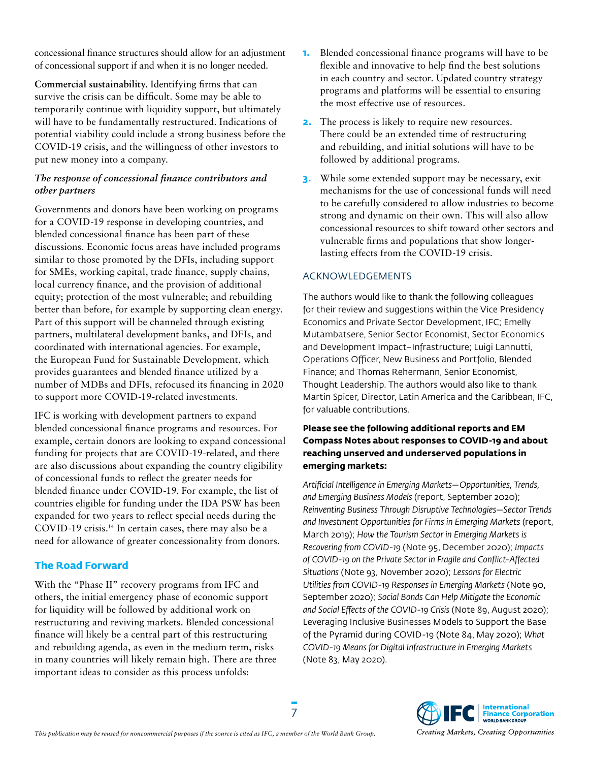concessional finance structures should allow for an adjustment of concessional support if and when it is no longer needed.

**Commercial sustainability.** Identifying firms that can survive the crisis can be difficult. Some may be able to temporarily continue with liquidity support, but ultimately will have to be fundamentally restructured. Indications of potential viability could include a strong business before the COVID-19 crisis, and the willingness of other investors to put new money into a company.

#### *The response of concessional finance contributors and other partners*

Governments and donors have been working on programs for a COVID-19 response in developing countries, and blended concessional finance has been part of these discussions. Economic focus areas have included programs similar to those promoted by the DFIs, including support for SMEs, working capital, trade finance, supply chains, local currency finance, and the provision of additional equity; protection of the most vulnerable; and rebuilding better than before, for example by supporting clean energy. Part of this support will be channeled through existing partners, multilateral development banks, and DFIs, and coordinated with international agencies. For example, the European Fund for Sustainable Development, which provides guarantees and blended finance utilized by a number of MDBs and DFIs, refocused its financing in 2020 to support more COVID-19-related investments.

IFC is working with development partners to expand blended concessional finance programs and resources. For example, certain donors are looking to expand concessional funding for projects that are COVID-19-related, and there are also discussions about expanding the country eligibility of concessional funds to reflect the greater needs for blended finance under COVID-19. For example, the list of countries eligible for funding under the IDA PSW has been expanded for two years to reflect special needs during the COVID-19 crisis.14 In certain cases, there may also be a need for allowance of greater concessionality from donors.

#### **The Road Forward**

With the "Phase II" recovery programs from IFC and others, the initial emergency phase of economic support for liquidity will be followed by additional work on restructuring and reviving markets. Blended concessional finance will likely be a central part of this restructuring and rebuilding agenda, as even in the medium term, risks in many countries will likely remain high. There are three important ideas to consider as this process unfolds:

- **1.** Blended concessional finance programs will have to be flexible and innovative to help find the best solutions in each country and sector. Updated country strategy programs and platforms will be essential to ensuring the most effective use of resources.
- **2.** The process is likely to require new resources. There could be an extended time of restructuring and rebuilding, and initial solutions will have to be followed by additional programs.
- **3.** While some extended support may be necessary, exit mechanisms for the use of concessional funds will need to be carefully considered to allow industries to become strong and dynamic on their own. This will also allow concessional resources to shift toward other sectors and vulnerable firms and populations that show longerlasting effects from the COVID-19 crisis.

#### ACKNOWLEDGEMENTS

The authors would like to thank the following colleagues for their review and suggestions within the Vice Presidency Economics and Private Sector Development, IFC; Emelly Mutambatsere, Senior Sector Economist, Sector Economics and Development Impact–Infrastructure; Luigi Lannutti, Operations Officer, New Business and Portfolio, Blended Finance; and Thomas Rehermann, Senior Economist, Thought Leadership. The authors would also like to thank Martin Spicer, Director, Latin America and the Caribbean, IFC, for valuable contributions.

#### **Please see the following additional reports and EM Compass Notes about responses to COVID-19 and about reaching unserved and underserved populations in emerging markets:**

*Artificial Intelligence in Emerging Markets—Opportunities, Trends, and Emerging Business Models* (report, September 2020); *Reinventing Business Through Disruptive Technologies—Sector Trends and Investment Opportunities for Firms in Emerging Markets* (report, March 2019); *How the Tourism Sector in Emerging Markets is Recovering from COVID-19* (Note 95, December 2020); *Impacts of COVID-19 on the Private Sector in Fragile and Conflict-Affected Situations* (Note 93, November 2020); *Lessons for Electric Utilities from COVID-19 Responses in Emerging Markets* (Note 90, September 2020); *Social Bonds Can Help Mitigate the Economic and Social Effects of the COVID-19 Crisis* (Note 89, August 2020); Leveraging Inclusive Businesses Models to Support the Base of the Pyramid during COVID-19 (Note 84, May 2020); *What COVID-19 Means for Digital Infrastructure in Emerging Markets* (Note 83, May 2020).